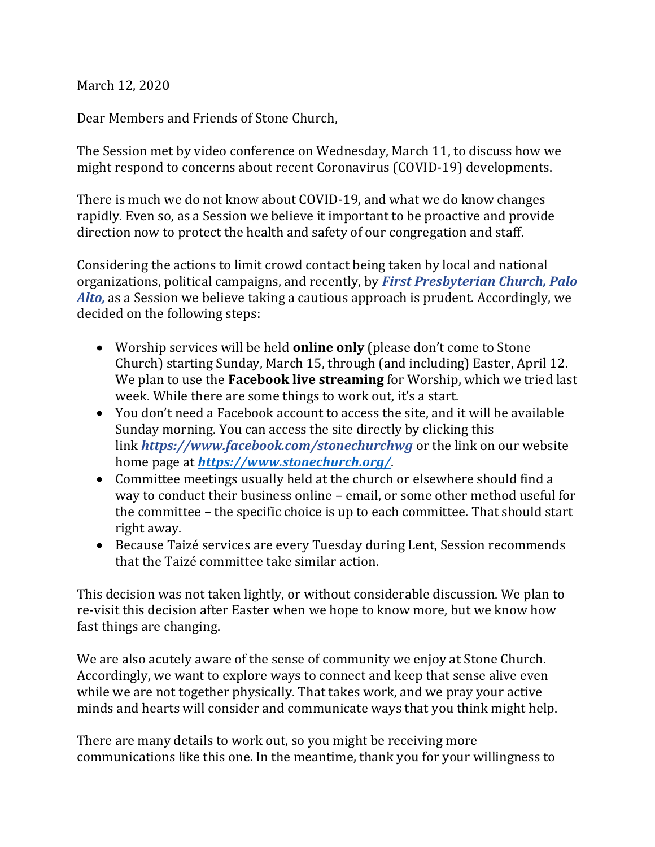March 12, 2020

Dear Members and Friends of Stone Church,

The Session met by video conference on Wednesday, March 11, to discuss how we might respond to concerns about recent Coronavirus (COVID-19) developments.

There is much we do not know about COVID-19, and what we do know changes rapidly. Even so, as a Session we believe it important to be proactive and provide direction now to protect the health and safety of our congregation and staff.

Considering the actions to limit crowd contact being taken by local and national organizations, political campaigns, and recently, by *[First Presbyterian Church, Palo](http://r20.rs6.net/tn.jsp?f=001vCN3bWXYaPiDZ1HcXkr9TKZd7pnC04MLoKa4nseg0NOqbYnAtztEdppo5RJ7D_8Vj3FkWIPe_j06lwAjjzKGoCIx5F0oNAYCp0ge8b5tUHvGU_HVVOO8341c8lwegREoWnPjIXLCY-C_WtDG4SuK2w==&c=sIh6_PkvXgk1noeK18gkzGY_c_9CGUK-Kt3h2JrcHtyVoL4A6DL-Jg==&ch=v2vqEdMay9hSwmN_4ks3l9_74yNy-u5DAh8xsfLZUX50LxhOmdPOQA==)  [Alto,](http://r20.rs6.net/tn.jsp?f=001vCN3bWXYaPiDZ1HcXkr9TKZd7pnC04MLoKa4nseg0NOqbYnAtztEdppo5RJ7D_8Vj3FkWIPe_j06lwAjjzKGoCIx5F0oNAYCp0ge8b5tUHvGU_HVVOO8341c8lwegREoWnPjIXLCY-C_WtDG4SuK2w==&c=sIh6_PkvXgk1noeK18gkzGY_c_9CGUK-Kt3h2JrcHtyVoL4A6DL-Jg==&ch=v2vqEdMay9hSwmN_4ks3l9_74yNy-u5DAh8xsfLZUX50LxhOmdPOQA==)* [a](http://r20.rs6.net/tn.jsp?f=001vCN3bWXYaPiDZ1HcXkr9TKZd7pnC04MLoKa4nseg0NOqbYnAtztEdppo5RJ7D_8Vj3FkWIPe_j06lwAjjzKGoCIx5F0oNAYCp0ge8b5tUHvGU_HVVOO8341c8lwegREoWnPjIXLCY-C_WtDG4SuK2w==&c=sIh6_PkvXgk1noeK18gkzGY_c_9CGUK-Kt3h2JrcHtyVoL4A6DL-Jg==&ch=v2vqEdMay9hSwmN_4ks3l9_74yNy-u5DAh8xsfLZUX50LxhOmdPOQA==)s a Session we believe taking a cautious approach is prudent. Accordingly, we decided on the following steps:

- Worship services will be held **online only** (please don't come to Stone Church) starting Sunday, March 15, through (and including) Easter, April 12. We plan to use the **Facebook live streaming** for Worship, which we tried last week. While there are some things to work out, it's a start.
- You don't need a Facebook account to access the site, and it will be available Sunday morning. You can access the site directly by clicking this link *[https://www.facebook.com/stonechurchwg](http://r20.rs6.net/tn.jsp?f=001vCN3bWXYaPiDZ1HcXkr9TKZd7pnC04MLoKa4nseg0NOqbYnAtztEdr1xWOl5Ehz9Ach0h66uIXuitEteMya1jp5rUCvKJCHcj8sT8axuZxV29wfe6LsxZ8-mhUgRwXFljVlmXX5x4GwFB1gs2UkwnDuVmFuxQ-CH&c=sIh6_PkvXgk1noeK18gkzGY_c_9CGUK-Kt3h2JrcHtyVoL4A6DL-Jg==&ch=v2vqEdMay9hSwmN_4ks3l9_74yNy-u5DAh8xsfLZUX50LxhOmdPOQA==)* or the link on our website home page at *<https://www.stonechurch.org/>*.
- Committee meetings usually held at the church or elsewhere should find a way to conduct their business online – email, or some other method useful for the committee – the specific choice is up to each committee. That should start right away.
- Because Taizé services are every Tuesday during Lent, Session recommends that the Taizé committee take similar action.

This decision was not taken lightly, or without considerable discussion. We plan to re-visit this decision after Easter when we hope to know more, but we know how fast things are changing.

We are also acutely aware of the sense of community we enjoy at Stone Church. Accordingly, we want to explore ways to connect and keep that sense alive even while we are not together physically. That takes work, and we pray your active minds and hearts will consider and communicate ways that you think might help.

There are many details to work out, so you might be receiving more communications like this one. In the meantime, thank you for your willingness to